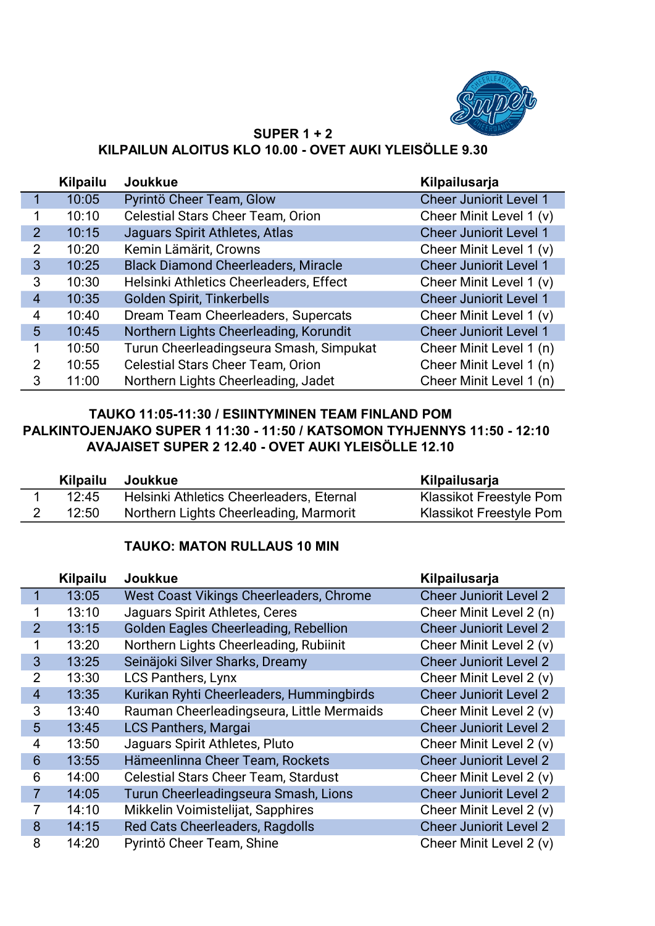

#### SUPER 1 + 2 KILPAILUN ALOITUS KLO 10.00 - OVET AUKI YLEISÖLLE 9.30

|                | Kilpailu | <b>Joukkue</b>                             | Kilpailusarja                 |
|----------------|----------|--------------------------------------------|-------------------------------|
|                | 10:05    | Pyrintö Cheer Team, Glow                   | <b>Cheer Juniorit Level 1</b> |
| 1              | 10:10    | <b>Celestial Stars Cheer Team, Orion</b>   | Cheer Minit Level 1 (v)       |
| 2              | 10:15    | Jaguars Spirit Athletes, Atlas             | <b>Cheer Juniorit Level 1</b> |
| 2              | 10:20    | Kemin Lämärit, Crowns                      | Cheer Minit Level 1 (v)       |
| 3              | 10:25    | <b>Black Diamond Cheerleaders, Miracle</b> | <b>Cheer Juniorit Level 1</b> |
| 3              | 10:30    | Helsinki Athletics Cheerleaders, Effect    | Cheer Minit Level 1 (v)       |
| $\overline{4}$ | 10:35    | Golden Spirit, Tinkerbells                 | <b>Cheer Juniorit Level 1</b> |
| 4              | 10:40    | Dream Team Cheerleaders, Supercats         | Cheer Minit Level 1 (v)       |
| 5              | 10:45    | Northern Lights Cheerleading, Korundit     | <b>Cheer Juniorit Level 1</b> |
| 1              | 10:50    | Turun Cheerleadingseura Smash, Simpukat    | Cheer Minit Level 1 (n)       |
| 2              | 10:55    | <b>Celestial Stars Cheer Team, Orion</b>   | Cheer Minit Level 1 (n)       |
| 3              | 11:00    | Northern Lights Cheerleading, Jadet        | Cheer Minit Level 1 (n)       |

# TAUKO 11:05-11:30 / ESIINTYMINEN TEAM FINLAND POM PALKINTOJENJAKO SUPER 1 11:30 - 11:50 / KATSOMON TYHJENNYS 11:50 - 12:10 AVAJAISET SUPER 2 12.40 - OVET AUKI YLEISÖLLE 12.10

| <b>Kilpailu</b> | Joukkue                                  | Kilpailusarja           |
|-----------------|------------------------------------------|-------------------------|
| 12:45           | Helsinki Athletics Cheerleaders, Eternal | Klassikot Freestyle Pom |
| 12:50           | Northern Lights Cheerleading, Marmorit   | Klassikot Freestyle Pom |

## TAUKO: MATON RULLAUS 10 MIN

|                | <b>Kilpailu</b> | <b>Joukkue</b>                              | Kilpailusarja                 |
|----------------|-----------------|---------------------------------------------|-------------------------------|
| 1              | 13:05           | West Coast Vikings Cheerleaders, Chrome     | <b>Cheer Juniorit Level 2</b> |
| 1              | 13:10           | Jaguars Spirit Athletes, Ceres              | Cheer Minit Level 2 (n)       |
| $\overline{2}$ | 13:15           | Golden Eagles Cheerleading, Rebellion       | <b>Cheer Juniorit Level 2</b> |
| 1              | 13:20           | Northern Lights Cheerleading, Rubiinit      | Cheer Minit Level 2 (v)       |
| 3              | 13:25           | Seinäjoki Silver Sharks, Dreamy             | <b>Cheer Juniorit Level 2</b> |
| $\overline{2}$ | 13:30           | <b>LCS Panthers, Lynx</b>                   | Cheer Minit Level 2 (v)       |
| $\overline{4}$ | 13:35           | Kurikan Ryhti Cheerleaders, Hummingbirds    | <b>Cheer Juniorit Level 2</b> |
| 3              | 13:40           | Rauman Cheerleadingseura, Little Mermaids   | Cheer Minit Level 2 (v)       |
| 5              | 13:45           | <b>LCS Panthers, Margai</b>                 | <b>Cheer Juniorit Level 2</b> |
| 4              | 13:50           | Jaguars Spirit Athletes, Pluto              | Cheer Minit Level 2 (v)       |
| 6              | 13:55           | Hämeenlinna Cheer Team, Rockets             | <b>Cheer Juniorit Level 2</b> |
| 6              | 14:00           | <b>Celestial Stars Cheer Team, Stardust</b> | Cheer Minit Level 2 (v)       |
| $\overline{7}$ | 14:05           | Turun Cheerleadingseura Smash, Lions        | <b>Cheer Juniorit Level 2</b> |
| 7              | 14:10           | Mikkelin Voimistelijat, Sapphires           | Cheer Minit Level 2 (v)       |
| 8              | 14:15           | Red Cats Cheerleaders, Ragdolls             | <b>Cheer Juniorit Level 2</b> |
| 8              | 14:20           | Pyrintö Cheer Team, Shine                   | Cheer Minit Level 2 (v)       |